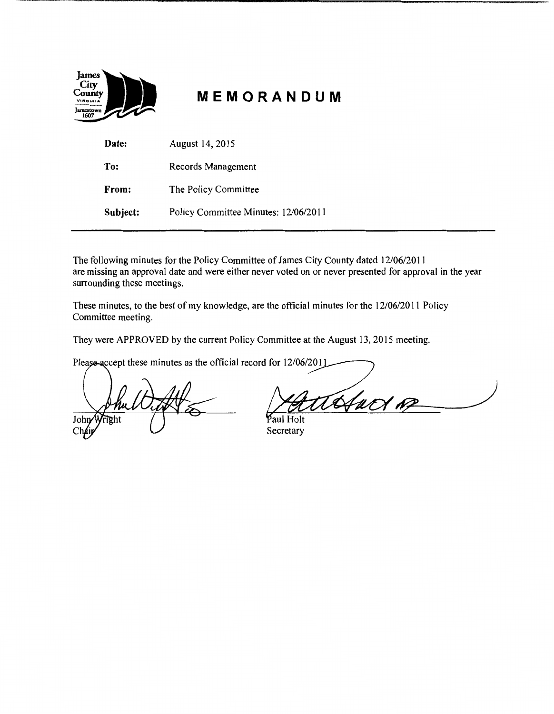| City<br>County<br>VIRGINIA<br>Jamestown<br>1607 |
|-------------------------------------------------|
|-------------------------------------------------|

# **MEMORANDUM**

| Date:    | August 14, 2015                      |
|----------|--------------------------------------|
| To:      | Records Management                   |
| From:    | The Policy Committee                 |
| Subject: | Policy Committee Minutes: 12/06/2011 |

The following minutes for the Policy Committee of James City County dated 12/06/2011 are missing an approval date and were either never voted on or never presented for approval in the year surrounding these meetings.

These minutes, to the best of my knowledge, are the official minutes for the 12/06/2011 Policy Committee meeting.

They were APPROVED by the current Policy Committee at the August 13, 2015 meeting.

Please-accept these minutes as the official record for 12/06/2011

Joh  $ChA$ 

Hact of

aul Holt Secretary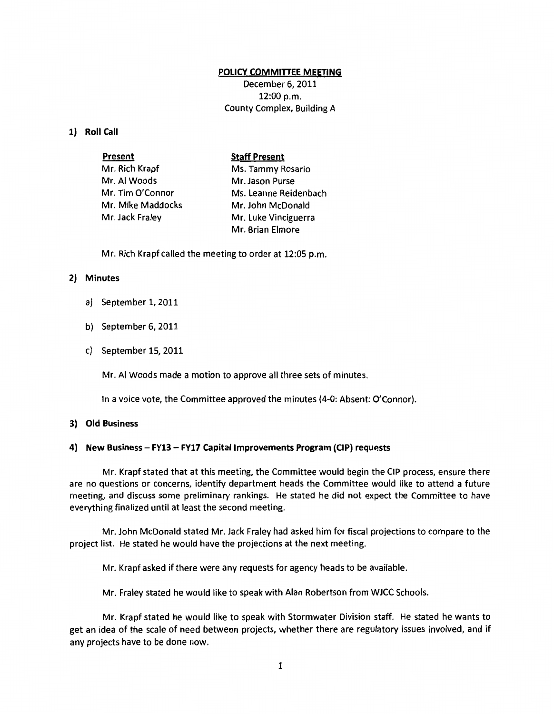### **POLICY COMMITIEE MEETING**

December 6, 2011 12:00 p.m. County Complex, Building A

### **1) Roll Call**

| <b>Present</b>    | <b>Staff Present</b>  |
|-------------------|-----------------------|
| Mr. Rich Krapf    | Ms. Tammy Rosario     |
| Mr. Al Woods      | Mr. Jason Purse       |
| Mr. Tim O'Connor  | Ms. Leanne Reidenbach |
| Mr. Mike Maddocks | Mr. John McDonald     |
| Mr. Jack Fraley   | Mr. Luke Vinciguerra  |
|                   | Mr. Brian Elmore      |

Mr. Rich Krapf called the meeting to order at 12:05 p.m.

## **2) Minutes**

- a) September 1, 2011
- b) September 6, 2011
- c) September 15, 2011

Mr. AI Woods made a motion to approve all three sets of minutes.

In a voice vote, the Committee approved the minutes {4-0: Absent: O'Connor).

## **3) Old Business**

#### **4) New Business- FY13- FY17 Capital Improvements Program {CIP) requests**

Mr. Krapf stated that at this meeting, the Committee would begin the CIP process, ensure there are no questions or concerns, identify department heads the Committee would like to attend a future meeting, and discuss some preliminary rankings. He stated he did not expect the Committee to have everything finalized until at least the second meeting.

Mr. John McDonald stated Mr. Jack Fraley had asked him for fiscal projections to compare to the project list. He stated he would have the projections at the next meeting.

Mr. Krapf asked if there were any requests for agency heads to be available.

Mr. Fraley stated he would like to speak with Alan Robertson from WJCC Schools.

Mr. Krapf stated he would like to speak with Stormwater Division staff. He stated he wants to get an idea of the scale of need between projects, whether there are regulatory issues involved, and if any projects have to be done now.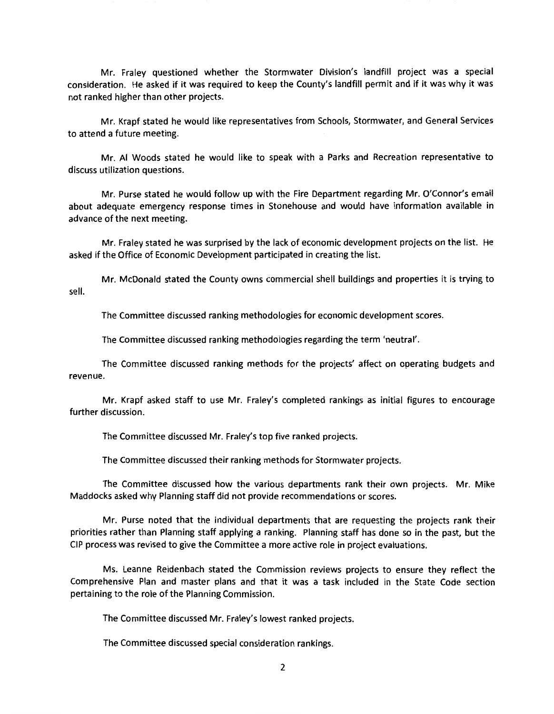Mr. Fraley questioned whether the Stormwater Division's landfill project was a special consideration. He asked if it was required to keep the County's landfill permit and if it was why it was not ranked higher than other projects.

Mr. Krapf stated he would like representatives from Schools, Stormwater, and General Services to attend a future meeting.

Mr. AI Woods stated he would like to speak with a Parks and Recreation representative to discuss utilization questions.

Mr. Purse stated he would follow up with the Fire Department regarding Mr. O'Connor's email about adequate emergency response times in Stonehouse and would have information available in advance of the next meeting.

Mr. Fraley stated he was surprised by the lack of economic development projects on the list. He asked if the Office of Economic Development participated in creating the list.

Mr. McDonald stated the County owns commercial shell buildings and properties it is trying to sell.

The Committee discussed ranking methodologies for economic development scores.

The Committee discussed ranking methodologies regarding the term 'neutral'.

The Committee discussed ranking methods for the projects' affect on operating budgets and revenue.

Mr. Krapf asked staff to use Mr. Fraley's completed rankings as initial figures to encourage further discussion.

The Committee discussed Mr. Fraley's top five ranked projects.

The Committee discussed their ranking methods for Stormwater projects.

The Committee discussed how the various departments rank their own projects. Mr. Mike Maddocks asked why Planning staff did not provide recommendations or scores.

Mr. Purse noted that the individual departments that are requesting the projects rank their priorities rather than Planning staff applying a ranking. Planning staff has done so in the past, but the CIP process was revised to give the Committee a more active role in project evaluations.

Ms. Leanne Reidenbach stated the Commission reviews projects to ensure they reflect the Comprehensive Plan and master plans and that it was a task included in the State Code section pertaining to the role of the Planning Commission.

The Committee discussed Mr. Fraley's lowest ranked projects.

The Committee discussed special consideration rankings.